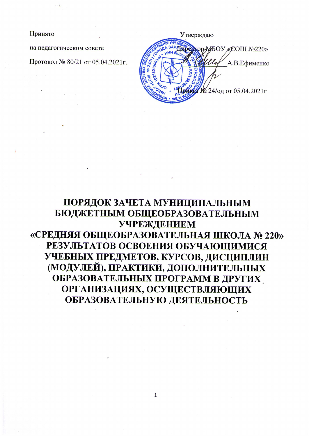Принято

на педагогическом совете

Протокол № 80/21 от 05.04.2021г.

Утверждаю HIPONTOD MEOY «COIII Nº220» А.В.Ефименко № 24/од от 05.04.2021г

## ПОРЯДОК ЗАЧЕТА МУНИЦИПАЛЬНЫМ БЮДЖЕТНЫМ ОБЩЕОБРАЗОВАТЕЛЬНЫМ **УЧРЕЖДЕНИЕМ** «СРЕДНЯЯ ОБЩЕОБРАЗОВАТЕЛЬНАЯ ШКОЛА № 220» РЕЗУЛЬТАТОВ ОСВОЕНИЯ ОБУЧАЮЩИМИСЯ УЧЕБНЫХ ПРЕДМЕТОВ, КУРСОВ, ДИСЦИПЛИН (МОДУЛЕЙ), ПРАКТИКИ, ДОПОЛНИТЕЛЬНЫХ ОБРАЗОВАТЕЛЬНЫХ ПРОГРАММ В ДРУГИХ ОРГАНИЗАЦИЯХ, ОСУЩЕСТВЛЯЮЩИХ ОБРАЗОВАТЕЛЬНУЮ ДЕЯТЕЛЬНОСТЬ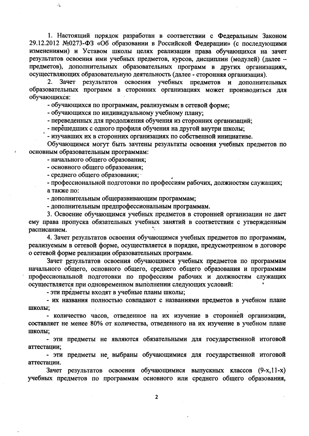1. Настоящий порядок разработан в соответствии с Федеральным Законом 29.12.2012 №0273-ФЗ «Об образовании в Российской Федерации» (с последующими изменениями) и Уставом школы целях реализации права обучающихся на зачет результатов освоения ими учебных предметов, курсов, дисциплин (модулей) (далее предметов), дополнительных образовательных программ в других организациях, осуществляющих образовательную деятельность (далее - сторонняя организация).

 $2_{-}$ Зачет результатов освоения учебных предметов и дополнительных образовательных программ в сторонних организациях может производиться для обучающихся:

- обучающихся по программам, реализуемым в сетевой форме;

- обучающихся по индивидуальному учебному плану;

- переведенных для продолжения обучения из сторонних организаций;

- перешедших с одного профиля обучения на другой внутри школы;

- изучавших их в сторонних организациях по собственной инициативе.

Обучающимся могут быть зачтены результаты освоения учебных предметов по основным образовательным программам:

- начального общего образования;

 $\mathbb{R}^2$ 

- основного общего образования;

- среднего общего образования;

- профессиональной подготовки по профессиям рабочих, должностям служащих; а также по:

- дополнительным общеразвивающим программам;

- дополнительным предпрофессиональным программам.

3. Освоение обучающимся учебных предметов в сторонней организации не дает ему права пропуска обязательных учебных занятий в соответствии с утвержденным расписанием.

4. Зачет результатов освоения обучающимся учебных предметов по программам, реализуемым в сетевой форме, осуществляется в порядке, предусмотренном в договоре о сетевой форме реализации образовательных программ.

Зачет результатов освоения обучающимся учебных предметов по программам начального общего, основного общего, среднего общего образования и программам профессиональной подготовки по профессиям рабочих и должностям служащих осуществляется при одновременном выполнении следующих условий:

- эти предметы входят в учебные планы школы;

- их названия полностью совпадают с названиями предметов в учебном плане ШКОЛЫ;

- количество часов, отведенное на их изучение в сторонней организации, составляет не менее 80% от количества, отведенного на их изучение в учебном плане школы;

- эти предметы не являются обязательными для государственной итоговой аттестации;

- эти предметы не выбраны обучающимися для государственной итоговой аттестации.

Зачет результатов освоения обучающимися выпускных классов (9-х, 11-х) учебных предметов по программам основного или среднего общего образования,

 $\overline{2}$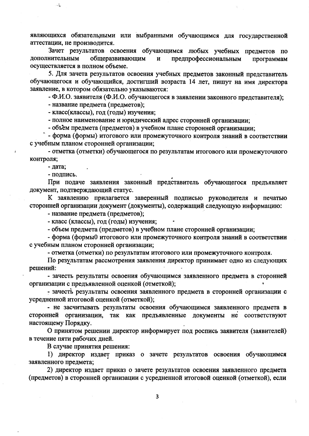являющихся обязательными или выбранными обучающимся для государственной аттестации, не производится.

Зачет результатов освоения обучающимся любых учебных предметов по дополнительным общеразвивающим  $\mathbf{H}$ предпрофессиональным программам осуществляется в полном объеме.

5. Для зачета результатов освоения учебных предметов законный представитель обучающегося и обучающийся, достигший возраста 14 лет, пишут на имя директора заявление, в котором обязательно указываются:

- Ф.И.О. заявителя (Ф.И.О. обучающегося в заявлении законного представителя);

- название предмета (предметов);

- класс(классы), год (годы) изучения;

- полное наименование и юридический адрес сторонней организации;

- объем предмета (предметов) в учебном плане сторонней организации;

- форма (формы) итогового или промежуточного контроля знаний в соответствии с учебным планом сторонней организации:

- отметка (отметки) обучающегося по результатам итогового или промежуточного контроля;

- дата;

 $\mathbb{R}^2$ 

- подпись.

При подаче заявления законный представитель обучающегося предъявляет документ, подтверждающий статус.

К заявлению прилагается заверенный подписью руководителя и печатью сторонней организации документ (документы), содержащий следующую информацию:

- название предмета (предметов);

- класс (классы), год (годы) изучения;

- объем предмета (предметов) в учебном плане сторонней организации;

- форма (формы0 итогового или промежуточного контроля знаний в соответствии с учебным планом сторонней организации;

- отметка (отметки) по результатам итогового или промежуточного контроля.

По результатам рассмотрения заявления директор принимает одно из следующих решений:

- зачесть результаты освоения обучающимся заявленного предмета в сторонней организации с предъявленной оценкой (отметкой);

- зачесть результаты освоения заявленного предмета в сторонней организации с усредненной итоговой оценкой (отметкой);

- не засчитывать результаты освоения обучающимся заявленного предмета в сторонней организации, так как предъявленные документы не соответствуют настоящему Порядку.

О принятом решении директор информирует под роспись заявителя (заявителей) в течение пяти рабочих дней.

В случае принятия решения:

1) директор издает приказ о зачете результатов освоения обучающимся заявленного предмета;

2) директор издает приказ о зачете результатов освоения заявленного предмета (предметов) в сторонней организации с усредненной итоговой оценкой (отметкой), если